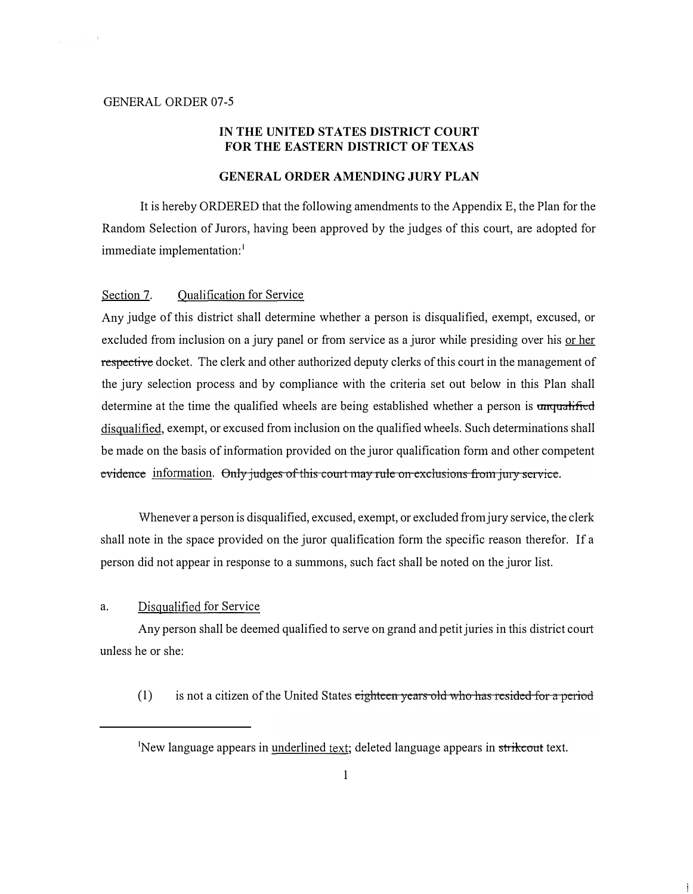#### GENERAL ORDER 07-5

# IN THE UNITED STATES DISTRICT COURT FOR THE EASTERN DISTRICT OF TEXAS

## GENERAL ORDER AMENDING JURY PLAN

It is hereby ORDERED that the following amendments to the Appendix E, the Plan for the Random Selection of Jurors, having been approved by the judges of this court, are adopted for immediate implementation:<sup>1</sup>

### Section 7. Qualification for Service

Any judge of this district shall determine whether a person is disqualified, exempt, excused, or excluded from inclusion on a jury panel or from service as a juror while presiding over his or her respective docket. The clerk and other authorized deputy clerks of this court in the management of the jury selection process and by compliance with the criteria set out below in this Plan shall determine at the time the qualified wheels are being established whether a person is  $\alpha$ disqualified, exempt, or excused from inclusion on the qualified wheels. Such determinations shall be made on the basis of information provided on the juror qualification form and other competent evidence information. Only judges of this court may rule on exclusions from jury service.

Whenever a person is disqualified, excused, exempt, or excluded from jury service, the clerk shall note in the space provided on the juror qualification form the specific reason therefor. If a person did not appear in response to a summons, such fact shall be noted on the juror list.

#### a. Disqualified for Service

Any person shall be deemed qualified to serve on grand and petit juries in this district court unless he or she:

 $(1)$  is not a citizen of the United States eighteen years old who has resided for a period

<sup>&</sup>lt;sup>1</sup>New language appears in <u>underlined text</u>; deleted language appears in strikeout text.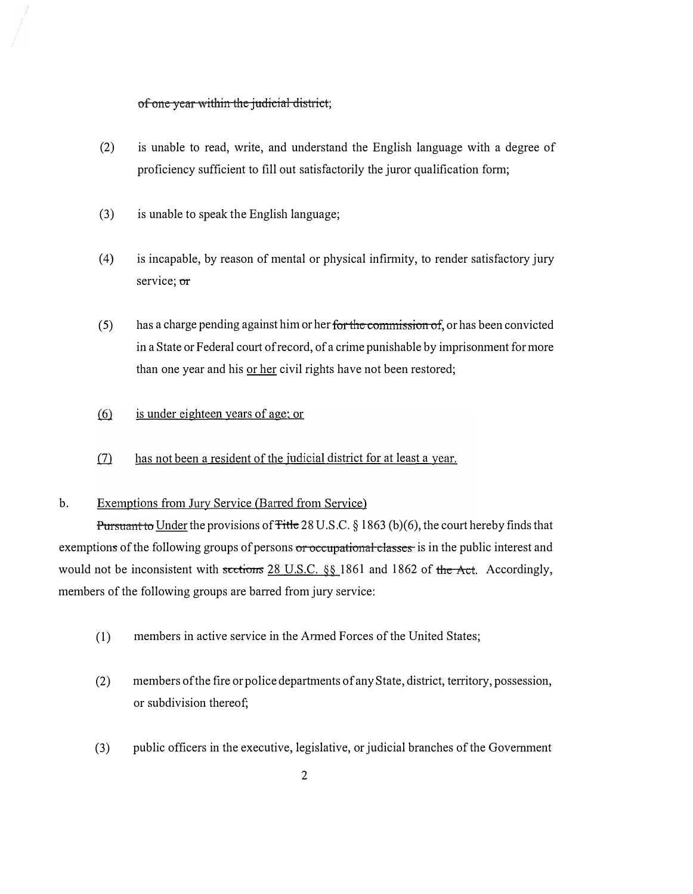of one year within the judicial district;

- (2) is unable to read, write, and understand the English language with a degree of proficiency sufficient to fill out satisfactorily the juror qualification form;
- (3) is unable to speak the English language;
- ( 4) is incapable, by reason of mental or physical infirmity, to render satisfactory jury service; or
- $(5)$  has a charge pending against him or her for the commission of, or has been convicted in a State or Federal court ofrecord, of a crime punishable by imprisonment for more than one year and his or her civil rights have not been restored;
- $(6)$  is under eighteen years of age; or
- (7) has not been a resident of the judicial district for at least a year.

# b. Exemptions from Jury Service (Barred from Service)

Pursuant to Under the provisions of Fitle 28 U.S.C. § 1863 (b)(6), the court hereby finds that exemptions of the following groups of persons or occupational classes is in the public interest and would not be inconsistent with sections 28 U.S.C. §§ 1861 and 1862 of the Act. Accordingly, members of the following groups are barred from jury service:

- (1) members in active service in the Armed Forces of the United States;
- (2) members of the fire or police departments of any State, district, territory, possession, or subdivision thereof;
- (3) public officers in the executive, legislative, or judicial branches of the Government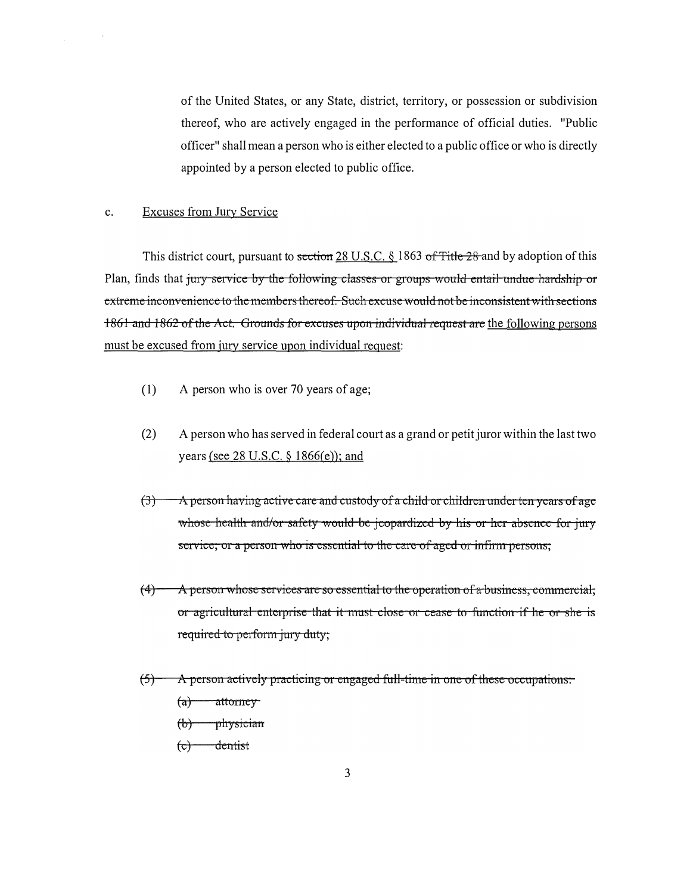of the United States, or any State, district, territory, or possession or subdivision thereof, who are actively engaged in the performance of official duties. "Public officer" shall mean a person who is either elected to a public office or who is directly appointed by a person elected to public office.

### c. Excuses from Jury Service

 $\sim$ 

 $\hat{\mathbf{r}}$ 

This district court, pursuant to section 28 U.S.C. § 1863 of Title 28 and by adoption of this Plan, finds that jury service by the following classes or groups would entail undue hardship or extreme inconvenience to the members thereof. Such excuse would not be inconsistent with sections 1861 and 1862 of the Act. Grounds for excuses upon individual request are the following persons must be excused from jury service upon individual request:

- ( 1) A person who is over 70 years of age;
- $(2)$  A person who has served in federal court as a grand or petit juror within the last two years (see 28 U.S.C. § 1866(e)); and
- $(3)$  A person having active care and custody of a child or children under ten years of age whose health and/or safety would be jeopardized by his or her absence for jury service; or a person who is essential to the care of aged or infirm persons;
- $(4)$  A person whose services are so essential to the operation of a business, commercial, or agricultural enterprise that it must close or cease to function if he or she is required to perform jury duty,
- $(5)$  A person actively practicing or engaged full-time in one of these occupations:
	- $(a)$  attorney
	- (b) physician
	- $(e)$  dentist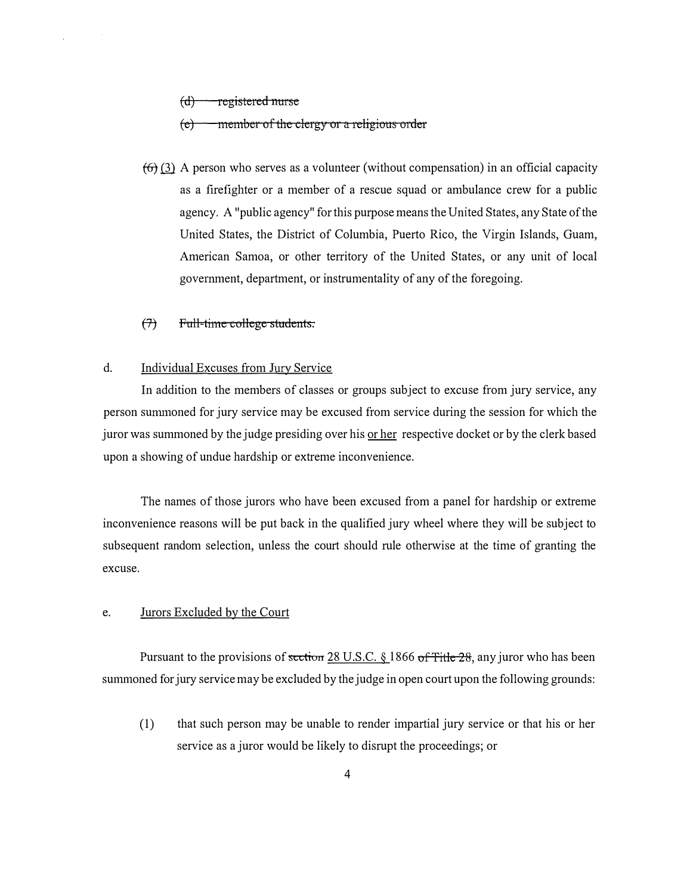$(d)$  registered nurse

 $\bar{1}$ 

 $(e)$  member of the clergy or a religious order

- $(6)$  (3) A person who serves as a volunteer (without compensation) in an official capacity as a firefighter or a member of a rescue squad or ambulance crew for a public agency. A "public agency" for this purpose means the United States, any State of the United States, the District of Columbia, Puerto Rico, the Virgin Islands, Guam, American Samoa, or other territory of the United States, or any unit of local government, department, or instrumentality of any of the foregoing.
- $(7)$  Full-time college students.

### d. Individual Excuses from Jury Service

In addition to the members of classes or groups subject to excuse from jury service, any person summoned for jury service may be excused from service during the session for which the juror was summoned by the judge presiding over his or her respective docket or by the clerk based upon a showing of undue hardship or extreme inconvenience.

The names of those jurors who have been excused from a panel for hardship or extreme inconvenience reasons will be put back in the qualified jury wheel where they will be subject to subsequent random selection, unless the court should rule otherwise at the time of granting the excuse.

# e. Jurors Excluded by the Court

Pursuant to the provisions of section 28 U.S.C.  $\S$  1866 of Title 28, any juror who has been summoned for jury service may be excluded by the judge in open court upon the following grounds:

(1) that such person may be unable to render impartial jury service or that his or her service as a juror would be likely to disrupt the proceedings; or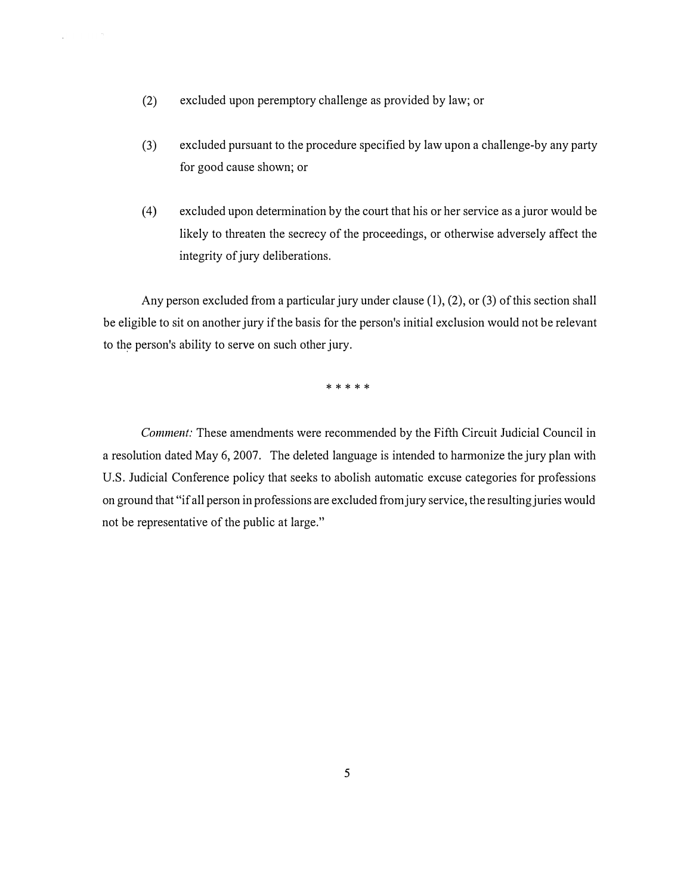(2) excluded upon peremptory challenge as provided by law; or

 $\hat{\mathbf{r}}$ 

- (3) excluded pursuant to the procedure specified by law upon a challenge-by any party for good cause shown; or
- $(4)$  excluded upon determination by the court that his or her service as a juror would be likely to threaten the secrecy of the proceedings, or otherwise adversely affect the integrity of jury deliberations.

Any person excluded from a particular jury under clause (1), (2), or (3) of this section shall be eligible to sit on another jury if the basis for the person's initial exclusion would not be relevant to the person's ability to serve on such other jury.

\* \* \* \* \*

Comment: These amendments were recommended by the Fifth Circuit Judicial Council in a resolution dated May 6, 2007. The deleted language is intended to harmonize the jury plan with U.S. Judicial Conference policy that seeks to abolish automatic excuse categories for professions on ground that "if all person in professions are excluded from jury service, the resulting juries would not be representative of the public at large."